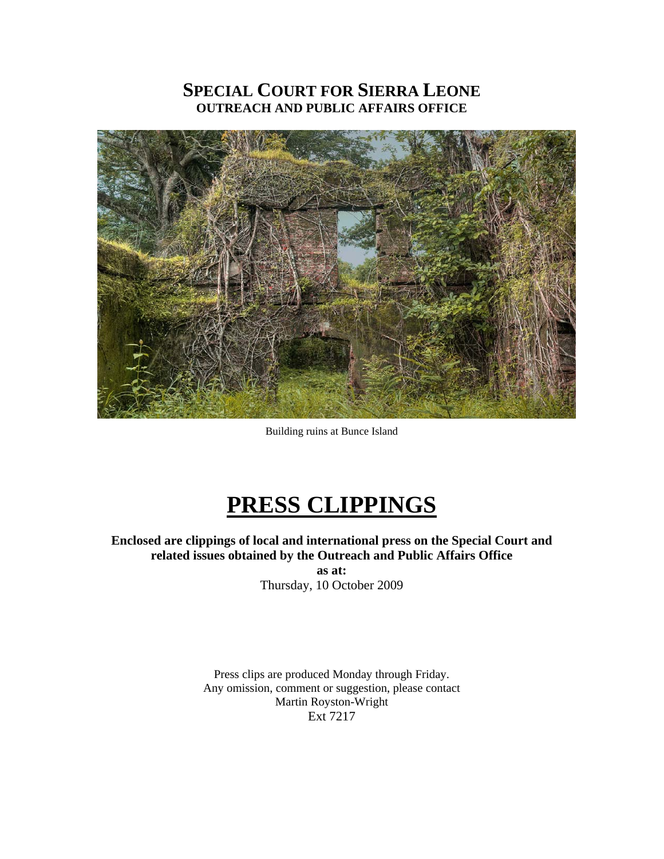# **SPECIAL COURT FOR SIERRA LEONE OUTREACH AND PUBLIC AFFAIRS OFFICE**



Building ruins at Bunce Island

# **PRESS CLIPPINGS**

**Enclosed are clippings of local and international press on the Special Court and related issues obtained by the Outreach and Public Affairs Office** 

**as at:**  Thursday, 10 October 2009

Press clips are produced Monday through Friday. Any omission, comment or suggestion, please contact Martin Royston-Wright Ext 7217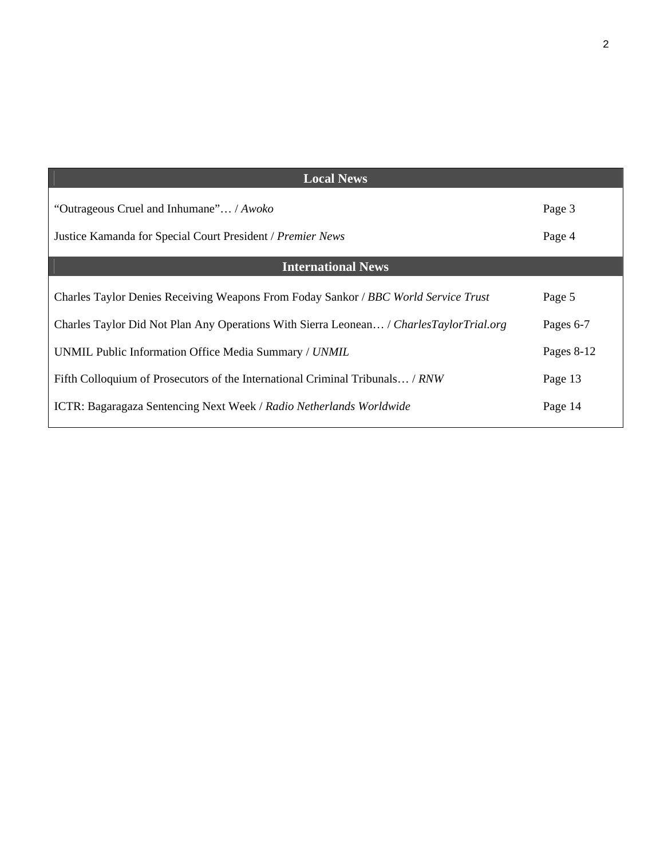| <b>Local News</b>                                                                         |            |
|-------------------------------------------------------------------------------------------|------------|
| "Outrageous Cruel and Inhumane" / Awoko                                                   | Page 3     |
| Justice Kamanda for Special Court President / Premier News                                | Page 4     |
| <b>International News</b>                                                                 |            |
| Charles Taylor Denies Receiving Weapons From Foday Sankor / BBC World Service Trust       | Page 5     |
| Charles Taylor Did Not Plan Any Operations With Sierra Leonean / Charles Taylor Trial.org | Pages 6-7  |
| UNMIL Public Information Office Media Summary / UNMIL                                     | Pages 8-12 |
| Fifth Colloquium of Prosecutors of the International Criminal Tribunals / RNW             | Page 13    |
| ICTR: Bagaragaza Sentencing Next Week / Radio Netherlands Worldwide                       | Page 14    |

2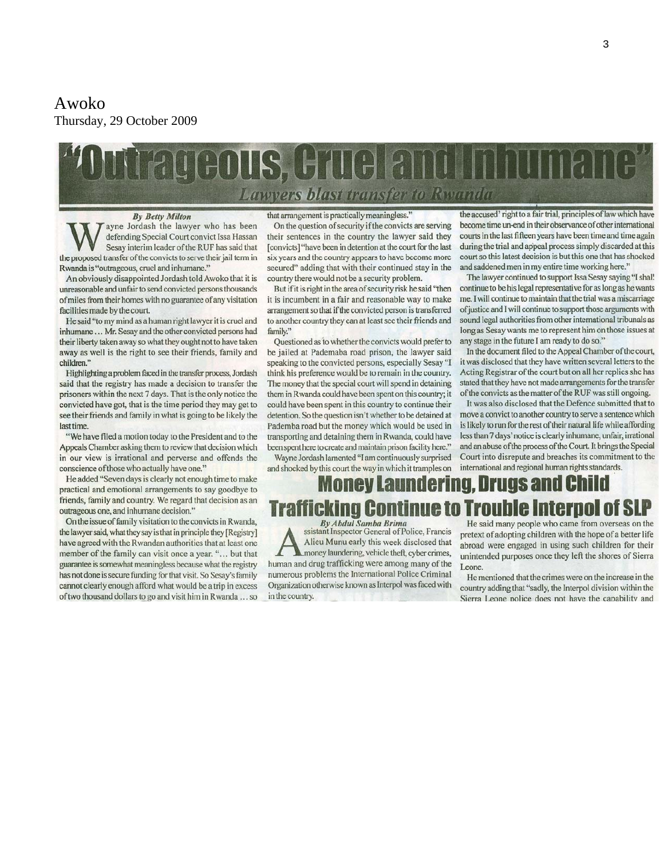#### Awoko Thursday, 29 October 2009

# THOUS, HILLELE Lawyers blast transfer to Rwanda

**By Betty Milton** 

ayne Jordash the lawyer who has been defending Special Court convict Issa Hassan Sesay interim leader of the RUF has said that the proposed transfer of the convicts to serve their jail term in Rwanda is "outrageous, cruel and inhumane."

An obviously disappointed Jordash told Awoko that it is unreasonable and unfair to send convicted persons thousands of miles from their homes with no guarantee of any visitation facilities made by the court.

He said "to my mind as a human right lawyer it is cruel and inhumane ... Mr. Sesay and the other convicted persons had their liberty taken away so what they ought not to have taken away as well is the right to see their friends, family and children."

Highlighting a problem faced in the transfer process, Jordash said that the registry has made a decision to transfer the prisoners within the next 7 days. That is the only notice the convicted have got, that is the time period they may get to see their friends and family in what is going to be likely the last time.

"We have filed a motion today to the President and to the Appeals Chamber asking them to review that decision which in our view is irrational and perverse and offends the conscience of those who actually have one."

He added "Seven days is clearly not enough time to make practical and emotional arrangements to say goodbye to friends, family and country. We regard that decision as an outrageous one, and inhumane decision."

On the issue of family visitation to the convicts in Rwanda, the lawyer said, what they say is that in principle they [Registry] have agreed with the Rwandan authorities that at least one member of the family can visit once a year. "... but that guarantee is somewhat meaningless because what the registry has not done is secure funding for that visit. So Sesay's family cannot clearly enough afford what would be a trip in excess of two thousand dollars to go and visit him in Rwanda ... so that arrangement is practically meaningless.

On the question of security if the convicts are serving their sentences in the country the lawyer said they [convicts] "have been in detention at the court for the last six years and the country appears to have become more secured" adding that with their continued stay in the country there would not be a security problem.

But if it is right in the area of security risk he said "then it is incumbent in a fair and reasonable way to make arrangement so that if the convicted person is transferred to another country they can at least see their friends and family."

Questioned as to whether the convicts would prefer to be jailed at Pademaba road prison, the lawyer said speaking to the convicted persons, especially Sesay "I think his preference would be to remain in the country. The money that the special court will spend in detaining them in Rwanda could have been spent on this country; it could have been spent in this country to continue their detention. So the question isn't whether to be detained at Pademba road but the money which would be used in transporting and detaining them in Rwanda, could have been spent here to create and maintain prison facility here."

Wayne Jordash lamented "I am continuously surprised and shocked by this court the way in which it tramples on

the accused' right to a fair trial, principles of law which have become time un-end in their observance of other international courts in the last fifteen years have been time and time again during the trial and appeal process simply discarded at this court so this latest decision is but this one that has shocked and saddened men in my entire time working here."

The lawyer continued to support Issa Sesay saying "I shal! continue to be his legal representative for as long as he wants me. I will continue to maintain that the trial was a miscarriage of justice and I will continue to support those arguments with sound legal authorities from other international tribunals as long as Sesay wants me to represent him on those issues at any stage in the future I am ready to do so."

In the document filed to the Appeal Chamber of the court, it was disclosed that they have written several letters to the Acting Registrar of the court but on all her replies she has stated that they have not made arrangements for the transfer of the convicts as the matter of the RUF was still ongoing.

It was also disclosed that the Defence submitted that to move a convict to another country to serve a sentence which is likely to run for the rest of their natural life while affording less than 7 days' notice is clearly inhumane, unfair, irrational and an abuse of the process of the Court. It brings the Special Court into disrepute and breaches its commitment to the international and regional human rights standards.

#### **rugs and Child** nev Lamndern le III

**By Abdul Samba Brima** ssistant Inspector General of Police, Francis Alieu Munu early this week disclosed that money laundering, vehicle theft, cyber crimes, human and drug trafficking were among many of the numerous problems the International Police Criminal Organization otherwise known as Interpol was faced with in the country.

He said many people who came from overseas on the pretext of adopting children with the hope of a better life abroad were engaged in using such children for their unintended purposes once they left the shores of Sierra Leone.

He mentioned that the crimes were on the increase in the country adding that "sadly, the Interpol division within the Sierra Leone police does not have the capability and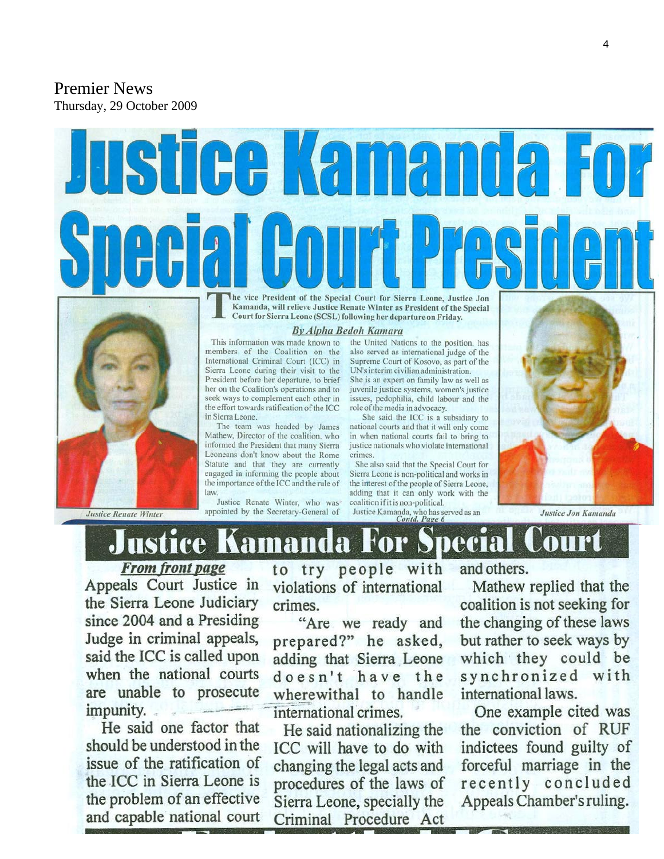Premier News Thursday, 29 October 2009



Kamanda, will relieve Justice Renate Winter as President of the Special Court for Sierra Leone (SCSL) following her departure on Friday.



**Justice Renate Winter** 

**By Alpha Bedoh Kamara** 

This information was made known to members of the Coalition on the International Criminal Court (ICC) in Sierra Leone during their visit to the President before her departure, to brief her on the Coalition's operations and to seek ways to complement each other in the effort towards ratification of the ICC in Sierra Leone

The team was headed by James Mathew, Director of the coalition, who informed the President that many Sierra Leoneans don't know about the Rome Statute and that they are currently engaged in informing the people about the importance of the ICC and the rule of law

Justice Renate Winter, who was appointed by the Secretary-General of

the United Nations to the position, has also served as international judge of the Supreme Court of Kosovo, as part of the UN's interim civilian administration.

She is an expert on family law as well as juvenile justice systems, women's justice issues, pedophilia, child labour and the role of the media in advocacy.

She said the ICC is a subsidiary to national courts and that it will only come in when national courts fail to bring to justice nationals who violate international crimes.

She also said that the Special Court for Sierra Leone is non-political and works in the interest of the people of Sierra Leone, adding that it can only work with the coalition if it is non-political.

Justice Kamanda, who has served as an<br>Contd. Page 6

Justice Jon Kamanda



**From front page** Appeals Court Justice in the Sierra Leone Judiciary since 2004 and a Presiding Judge in criminal appeals, said the ICC is called upon when the national courts are unable to prosecute impunity.

He said one factor that should be understood in the issue of the ratification of the ICC in Sierra Leone is the problem of an effective and capable national court to try people with violations of international crimes.

"Are we ready and prepared?" he asked, adding that Sierra Leone doesn't have the wherewithal to handle international crimes.

He said nationalizing the ICC will have to do with changing the legal acts and procedures of the laws of Sierra Leone, specially the Criminal Procedure Act

and others.

Mathew replied that the coalition is not seeking for the changing of these laws but rather to seek ways by which they could be synchronized with international laws.

One example cited was the conviction of RUF indictees found guilty of forceful marriage in the recently concluded Appeals Chamber's ruling.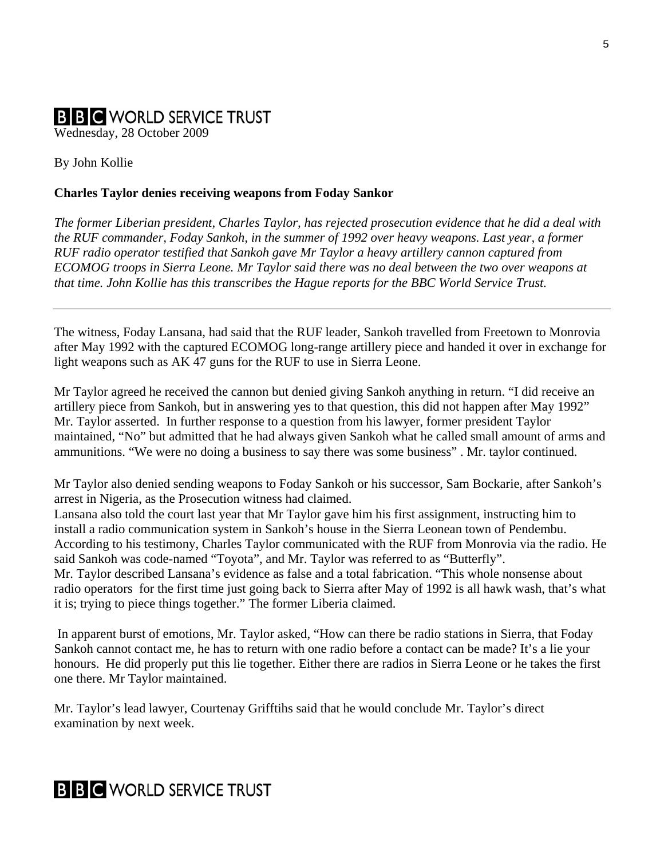# **B B C** WORLD SERVICE TRUST

Wednesday, 28 October 2009

#### By John Kollie

#### **Charles Taylor denies receiving weapons from Foday Sankor**

*The former Liberian president, Charles Taylor, has rejected prosecution evidence that he did a deal with the RUF commander, Foday Sankoh, in the summer of 1992 over heavy weapons. Last year, a former RUF radio operator testified that Sankoh gave Mr Taylor a heavy artillery cannon captured from ECOMOG troops in Sierra Leone. Mr Taylor said there was no deal between the two over weapons at that time. John Kollie has this transcribes the Hague reports for the BBC World Service Trust.* 

The witness, Foday Lansana, had said that the RUF leader, Sankoh travelled from Freetown to Monrovia after May 1992 with the captured ECOMOG long-range artillery piece and handed it over in exchange for light weapons such as AK 47 guns for the RUF to use in Sierra Leone.

Mr Taylor agreed he received the cannon but denied giving Sankoh anything in return. "I did receive an artillery piece from Sankoh, but in answering yes to that question, this did not happen after May 1992" Mr. Taylor asserted. In further response to a question from his lawyer, former president Taylor maintained, "No" but admitted that he had always given Sankoh what he called small amount of arms and ammunitions. "We were no doing a business to say there was some business" . Mr. taylor continued.

Mr Taylor also denied sending weapons to Foday Sankoh or his successor, Sam Bockarie, after Sankoh's arrest in Nigeria, as the Prosecution witness had claimed.

Lansana also told the court last year that Mr Taylor gave him his first assignment, instructing him to install a radio communication system in Sankoh's house in the Sierra Leonean town of Pendembu. According to his testimony, Charles Taylor communicated with the RUF from Monrovia via the radio. He said Sankoh was code-named "Toyota", and Mr. Taylor was referred to as "Butterfly". Mr. Taylor described Lansana's evidence as false and a total fabrication. "This whole nonsense about

radio operators for the first time just going back to Sierra after May of 1992 is all hawk wash, that's what it is; trying to piece things together." The former Liberia claimed.

 In apparent burst of emotions, Mr. Taylor asked, "How can there be radio stations in Sierra, that Foday Sankoh cannot contact me, he has to return with one radio before a contact can be made? It's a lie your honours. He did properly put this lie together. Either there are radios in Sierra Leone or he takes the first one there. Mr Taylor maintained.

Mr. Taylor's lead lawyer, Courtenay Grifftihs said that he would conclude Mr. Taylor's direct examination by next week.

# **B B C** WORLD SERVICE TRUST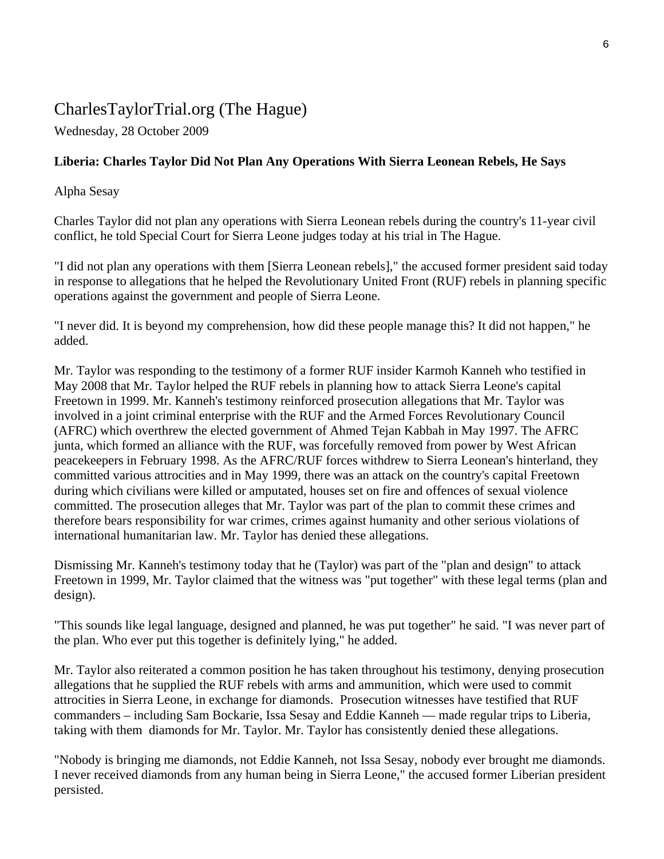## CharlesTaylorTrial.org (The Hague)

Wednesday, 28 October 2009

#### **Liberia: Charles Taylor Did Not Plan Any Operations With Sierra Leonean Rebels, He Says**

Alpha Sesay

Charles Taylor did not plan any operations with Sierra Leonean rebels during the country's 11-year civil conflict, he told Special Court for Sierra Leone judges today at his trial in The Hague.

"I did not plan any operations with them [Sierra Leonean rebels]," the accused former president said today in response to allegations that he helped the Revolutionary United Front (RUF) rebels in planning specific operations against the government and people of Sierra Leone.

"I never did. It is beyond my comprehension, how did these people manage this? It did not happen," he added.

Mr. Taylor was responding to the testimony of a former RUF insider Karmoh Kanneh who testified in May 2008 that Mr. Taylor helped the RUF rebels in planning how to attack Sierra Leone's capital Freetown in 1999. Mr. Kanneh's testimony reinforced prosecution allegations that Mr. Taylor was involved in a joint criminal enterprise with the RUF and the Armed Forces Revolutionary Council (AFRC) which overthrew the elected government of Ahmed Tejan Kabbah in May 1997. The AFRC junta, which formed an alliance with the RUF, was forcefully removed from power by West African peacekeepers in February 1998. As the AFRC/RUF forces withdrew to Sierra Leonean's hinterland, they committed various attrocities and in May 1999, there was an attack on the country's capital Freetown during which civilians were killed or amputated, houses set on fire and offences of sexual violence committed. The prosecution alleges that Mr. Taylor was part of the plan to commit these crimes and therefore bears responsibility for war crimes, crimes against humanity and other serious violations of international humanitarian law. Mr. Taylor has denied these allegations.

Dismissing Mr. Kanneh's testimony today that he (Taylor) was part of the "plan and design" to attack Freetown in 1999, Mr. Taylor claimed that the witness was "put together" with these legal terms (plan and design).

"This sounds like legal language, designed and planned, he was put together" he said. "I was never part of the plan. Who ever put this together is definitely lying," he added.

Mr. Taylor also reiterated a common position he has taken throughout his testimony, denying prosecution allegations that he supplied the RUF rebels with arms and ammunition, which were used to commit attrocities in Sierra Leone, in exchange for diamonds. Prosecution witnesses have testified that RUF commanders – including Sam Bockarie, Issa Sesay and Eddie Kanneh — made regular trips to Liberia, taking with them diamonds for Mr. Taylor. Mr. Taylor has consistently denied these allegations.

"Nobody is bringing me diamonds, not Eddie Kanneh, not Issa Sesay, nobody ever brought me diamonds. I never received diamonds from any human being in Sierra Leone," the accused former Liberian president persisted.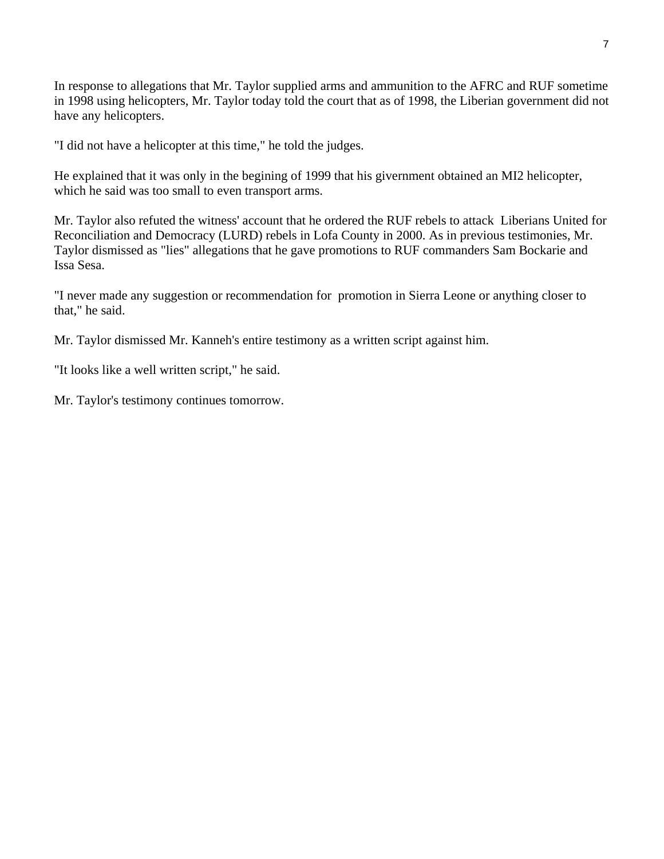In response to allegations that Mr. Taylor supplied arms and ammunition to the AFRC and RUF sometime in 1998 using helicopters, Mr. Taylor today told the court that as of 1998, the Liberian government did not have any helicopters.

"I did not have a helicopter at this time," he told the judges.

He explained that it was only in the begining of 1999 that his givernment obtained an MI2 helicopter, which he said was too small to even transport arms.

Mr. Taylor also refuted the witness' account that he ordered the RUF rebels to attack Liberians United for Reconciliation and Democracy (LURD) rebels in Lofa County in 2000. As in previous testimonies, Mr. Taylor dismissed as "lies" allegations that he gave promotions to RUF commanders Sam Bockarie and Issa Sesa.

"I never made any suggestion or recommendation for promotion in Sierra Leone or anything closer to that," he said.

Mr. Taylor dismissed Mr. Kanneh's entire testimony as a written script against him.

"It looks like a well written script," he said.

Mr. Taylor's testimony continues tomorrow.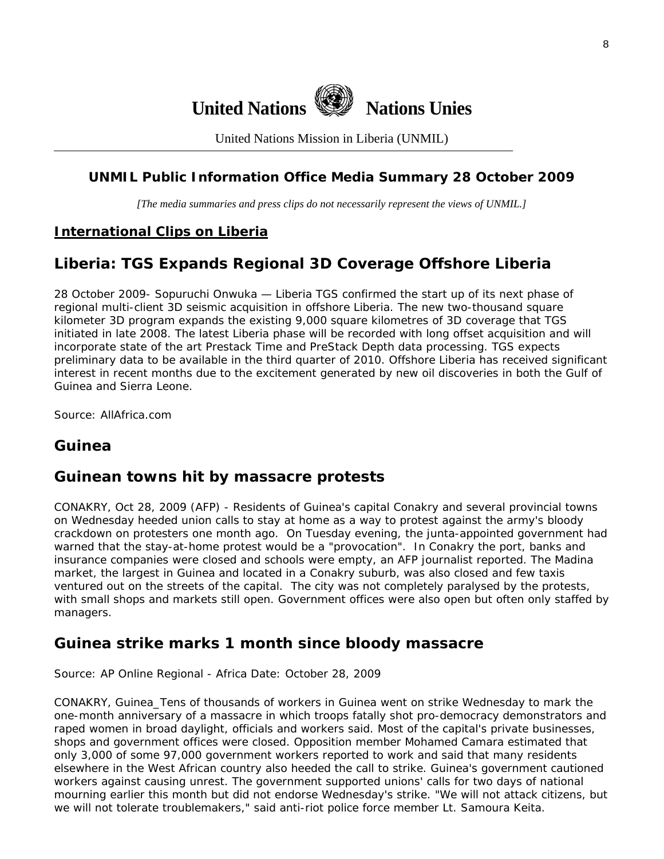

United Nations Mission in Liberia (UNMIL)

#### **UNMIL Public Information Office Media Summary 28 October 2009**

*[The media summaries and press clips do not necessarily represent the views of UNMIL.]* 

#### **International Clips on Liberia**

### **Liberia: TGS Expands Regional 3D Coverage Offshore Liberia**

28 October 2009- Sopuruchi Onwuka — Liberia TGS confirmed the start up of its next phase of regional multi-client 3D seismic acquisition in offshore Liberia. The new two-thousand square kilometer 3D program expands the existing 9,000 square kilometres of 3D coverage that TGS initiated in late 2008. The latest Liberia phase will be recorded with long offset acquisition and will incorporate state of the art Prestack Time and PreStack Depth data processing. TGS expects preliminary data to be available in the third quarter of 2010. Offshore Liberia has received significant interest in recent months due to the excitement generated by new oil discoveries in both the Gulf of Guinea and Sierra Leone.

Source: AllAfrica.com

### **Guinea**

#### **Guinean towns hit by massacre protests**

CONAKRY, Oct 28, 2009 (AFP) - Residents of Guinea's capital Conakry and several provincial towns on Wednesday heeded union calls to stay at home as a way to protest against the army's bloody crackdown on protesters one month ago. On Tuesday evening, the junta-appointed government had warned that the stay-at-home protest would be a "provocation". In Conakry the port, banks and insurance companies were closed and schools were empty, an AFP journalist reported. The Madina market, the largest in Guinea and located in a Conakry suburb, was also closed and few taxis ventured out on the streets of the capital. The city was not completely paralysed by the protests, with small shops and markets still open. Government offices were also open but often only staffed by managers.

#### **Guinea strike marks 1 month since bloody massacre**

Source: AP Online Regional - Africa Date: October 28, 2009

CONAKRY, Guinea\_Tens of thousands of workers in Guinea went on strike Wednesday to mark the one-month anniversary of a massacre in which troops fatally shot pro-democracy demonstrators and raped women in broad daylight, officials and workers said. Most of the capital's private businesses, shops and government offices were closed. Opposition member Mohamed Camara estimated that only 3,000 of some 97,000 government workers reported to work and said that many residents elsewhere in the West African country also heeded the call to strike. Guinea's government cautioned workers against causing unrest. The government supported unions' calls for two days of national mourning earlier this month but did not endorse Wednesday's strike. "We will not attack citizens, but we will not tolerate troublemakers," said anti-riot police force member Lt. Samoura Keita.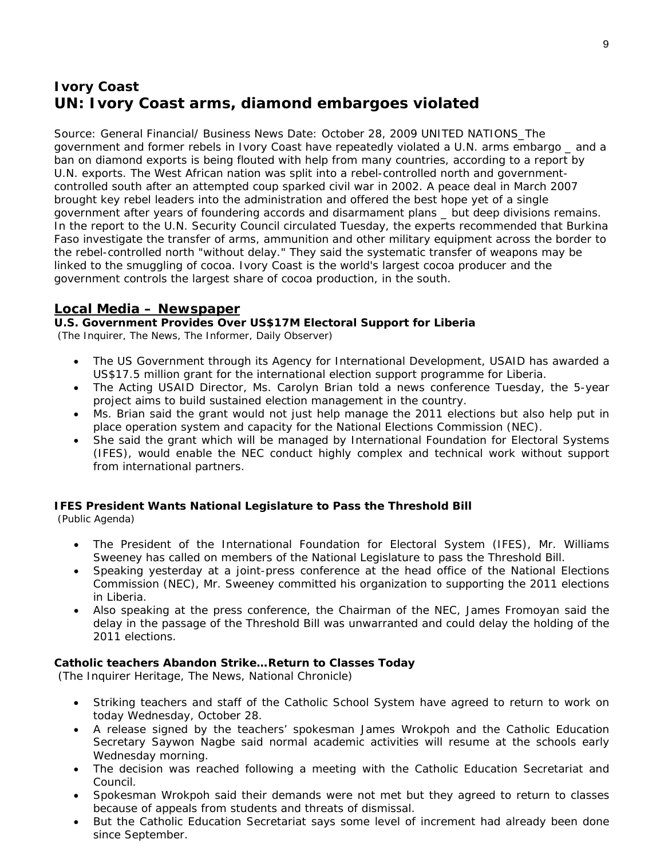## **Ivory Coast UN: Ivory Coast arms, diamond embargoes violated**

Source: General Financial/ Business News Date: October 28, 2009 UNITED NATIONS\_The government and former rebels in Ivory Coast have repeatedly violated a U.N. arms embargo \_ and a ban on diamond exports is being flouted with help from many countries, according to a report by U.N. exports. The West African nation was split into a rebel-controlled north and governmentcontrolled south after an attempted coup sparked civil war in 2002. A peace deal in March 2007 brought key rebel leaders into the administration and offered the best hope yet of a single government after years of foundering accords and disarmament plans \_ but deep divisions remains. In the report to the U.N. Security Council circulated Tuesday, the experts recommended that Burkina Faso investigate the transfer of arms, ammunition and other military equipment across the border to the rebel-controlled north "without delay." They said the systematic transfer of weapons may be linked to the smuggling of cocoa. Ivory Coast is the world's largest cocoa producer and the government controls the largest share of cocoa production, in the south.

#### **Local Media – Newspaper**

#### **U.S. Government Provides Over US\$17M Electoral Support for Liberia**

(The Inquirer, The News, The Informer, Daily Observer)

- The US Government through its Agency for International Development, USAID has awarded a US\$17.5 million grant for the international election support programme for Liberia.
- The Acting USAID Director, Ms. Carolyn Brian told a news conference Tuesday, the 5-year project aims to build sustained election management in the country.
- Ms. Brian said the grant would not just help manage the 2011 elections but also help put in place operation system and capacity for the National Elections Commission (NEC).
- She said the grant which will be managed by International Foundation for Electoral Systems (IFES), would enable the NEC conduct highly complex and technical work without support from international partners.

#### **IFES President Wants National Legislature to Pass the Threshold Bill**

(Public Agenda)

- The President of the International Foundation for Electoral System (IFES), Mr. Williams Sweeney has called on members of the National Legislature to pass the Threshold Bill.
- Speaking yesterday at a joint-press conference at the head office of the National Elections Commission (NEC), Mr. Sweeney committed his organization to supporting the 2011 elections in Liberia.
- Also speaking at the press conference, the Chairman of the NEC, James Fromoyan said the delay in the passage of the Threshold Bill was unwarranted and could delay the holding of the 2011 elections.

#### **Catholic teachers Abandon Strike…Return to Classes Today**

(The Inquirer Heritage, The News, National Chronicle)

- Striking teachers and staff of the Catholic School System have agreed to return to work on today Wednesday, October 28.
- A release signed by the teachers' spokesman James Wrokpoh and the Catholic Education Secretary Saywon Nagbe said normal academic activities will resume at the schools early Wednesday morning.
- The decision was reached following a meeting with the Catholic Education Secretariat and Council.
- Spokesman Wrokpoh said their demands were not met but they agreed to return to classes because of appeals from students and threats of dismissal.
- But the Catholic Education Secretariat says some level of increment had already been done since September.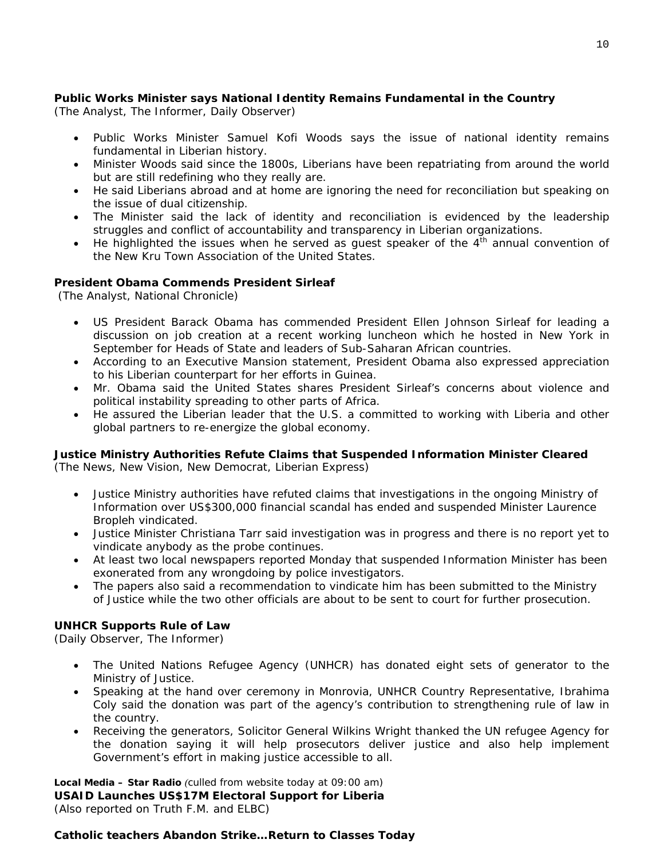#### **Public Works Minister says National Identity Remains Fundamental in the Country**

(The Analyst, The Informer, Daily Observer)

- Public Works Minister Samuel Kofi Woods says the issue of national identity remains fundamental in Liberian history.
- Minister Woods said since the 1800s, Liberians have been repatriating from around the world but are still redefining who they really are.
- He said Liberians abroad and at home are ignoring the need for reconciliation but speaking on the issue of dual citizenship.
- The Minister said the lack of identity and reconciliation is evidenced by the leadership struggles and conflict of accountability and transparency in Liberian organizations.
- He highlighted the issues when he served as quest speaker of the  $4<sup>th</sup>$  annual convention of the New Kru Town Association of the United States.

#### **President Obama Commends President Sirleaf**

(The Analyst, National Chronicle)

- US President Barack Obama has commended President Ellen Johnson Sirleaf for leading a discussion on job creation at a recent working luncheon which he hosted in New York in September for Heads of State and leaders of Sub-Saharan African countries.
- According to an Executive Mansion statement, President Obama also expressed appreciation to his Liberian counterpart for her efforts in Guinea.
- Mr. Obama said the United States shares President Sirleaf's concerns about violence and political instability spreading to other parts of Africa.
- He assured the Liberian leader that the U.S. a committed to working with Liberia and other global partners to re-energize the global economy.

#### **Justice Ministry Authorities Refute Claims that Suspended Information Minister Cleared**

(The News, New Vision, New Democrat, Liberian Express)

- Justice Ministry authorities have refuted claims that investigations in the ongoing Ministry of Information over US\$300,000 financial scandal has ended and suspended Minister Laurence Bropleh vindicated.
- Justice Minister Christiana Tarr said investigation was in progress and there is no report yet to vindicate anybody as the probe continues.
- At least two local newspapers reported Monday that suspended Information Minister has been exonerated from any wrongdoing by police investigators.
- The papers also said a recommendation to vindicate him has been submitted to the Ministry of Justice while the two other officials are about to be sent to court for further prosecution.

#### **UNHCR Supports Rule of Law**

(Daily Observer, The Informer)

- The United Nations Refugee Agency (UNHCR) has donated eight sets of generator to the Ministry of Justice.
- Speaking at the hand over ceremony in Monrovia, UNHCR Country Representative, Ibrahima Coly said the donation was part of the agency's contribution to strengthening rule of law in the country.
- Receiving the generators, Solicitor General Wilkins Wright thanked the UN refugee Agency for the donation saying it will help prosecutors deliver justice and also help implement Government's effort in making justice accessible to all.

**Local Media – Star Radio** *(culled from website today at 09:00 am)*  **USAID Launches US\$17M Electoral Support for Liberia**  *(Also reported on Truth F.M. and ELBC)*

#### **Catholic teachers Abandon Strike…Return to Classes Today**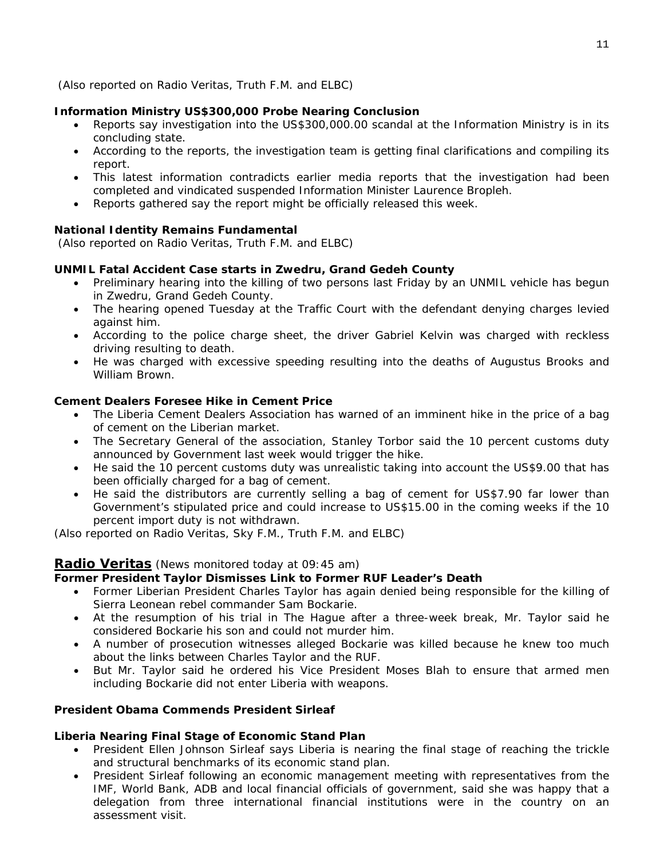#### **Information Ministry US\$300,000 Probe Nearing Conclusion**

- Reports say investigation into the US\$300,000.00 scandal at the Information Ministry is in its concluding state.
- According to the reports, the investigation team is getting final clarifications and compiling its report.
- This latest information contradicts earlier media reports that the investigation had been completed and vindicated suspended Information Minister Laurence Bropleh.
- Reports gathered say the report might be officially released this week.

#### **National Identity Remains Fundamental**

 *(Also reported on Radio Veritas, Truth F.M. and ELBC)*

#### **UNMIL Fatal Accident Case starts in Zwedru, Grand Gedeh County**

- Preliminary hearing into the killing of two persons last Friday by an UNMIL vehicle has begun in Zwedru, Grand Gedeh County.
- The hearing opened Tuesday at the Traffic Court with the defendant denying charges levied against him.
- According to the police charge sheet, the driver Gabriel Kelvin was charged with reckless driving resulting to death.
- He was charged with excessive speeding resulting into the deaths of Augustus Brooks and William Brown.

#### **Cement Dealers Foresee Hike in Cement Price**

- The Liberia Cement Dealers Association has warned of an imminent hike in the price of a bag of cement on the Liberian market.
- The Secretary General of the association, Stanley Torbor said the 10 percent customs duty announced by Government last week would trigger the hike.
- He said the 10 percent customs duty was unrealistic taking into account the US\$9.00 that has been officially charged for a bag of cement.
- He said the distributors are currently selling a bag of cement for US\$7.90 far lower than Government's stipulated price and could increase to US\$15.00 in the coming weeks if the 10 percent import duty is not withdrawn.

*(Also reported on Radio Veritas, Sky F.M., Truth F.M. and ELBC)*

#### **Radio Veritas** *(News monitored today at 09:45 am)*

#### **Former President Taylor Dismisses Link to Former RUF Leader's Death**

- Former Liberian President Charles Taylor has again denied being responsible for the killing of Sierra Leonean rebel commander Sam Bockarie.
- At the resumption of his trial in The Hague after a three-week break, Mr. Taylor said he considered Bockarie his son and could not murder him.
- A number of prosecution witnesses alleged Bockarie was killed because he knew too much about the links between Charles Taylor and the RUF.
- But Mr. Taylor said he ordered his Vice President Moses Blah to ensure that armed men including Bockarie did not enter Liberia with weapons.

#### **President Obama Commends President Sirleaf**

#### **Liberia Nearing Final Stage of Economic Stand Plan**

- President Ellen Johnson Sirleaf says Liberia is nearing the final stage of reaching the trickle and structural benchmarks of its economic stand plan.
- President Sirleaf following an economic management meeting with representatives from the IMF, World Bank, ADB and local financial officials of government, said she was happy that a delegation from three international financial institutions were in the country on an assessment visit.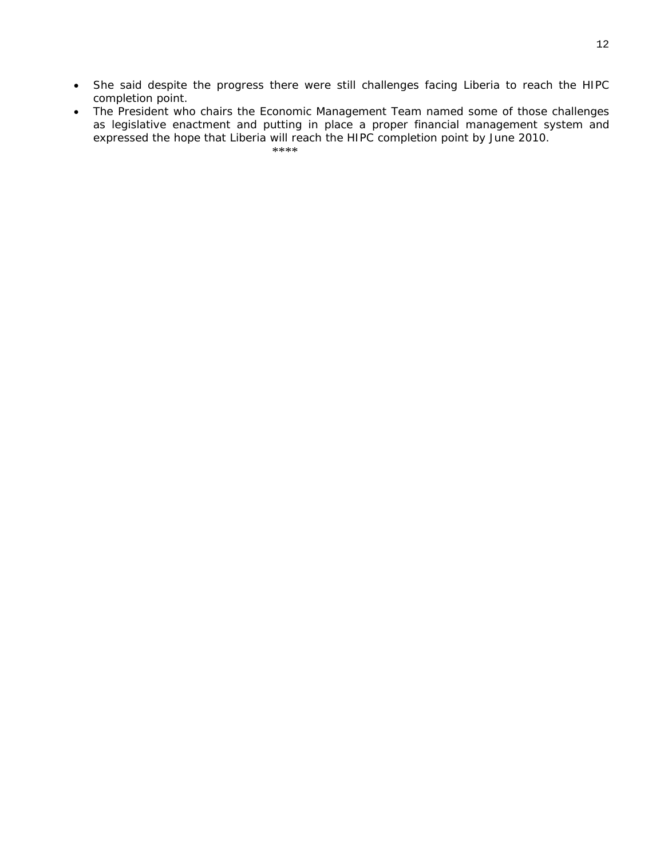- She said despite the progress there were still challenges facing Liberia to reach the HIPC completion point.
- The President who chairs the Economic Management Team named some of those challenges as legislative enactment and putting in place a proper financial management system and expressed the hope that Liberia will reach the HIPC completion point by June 2010.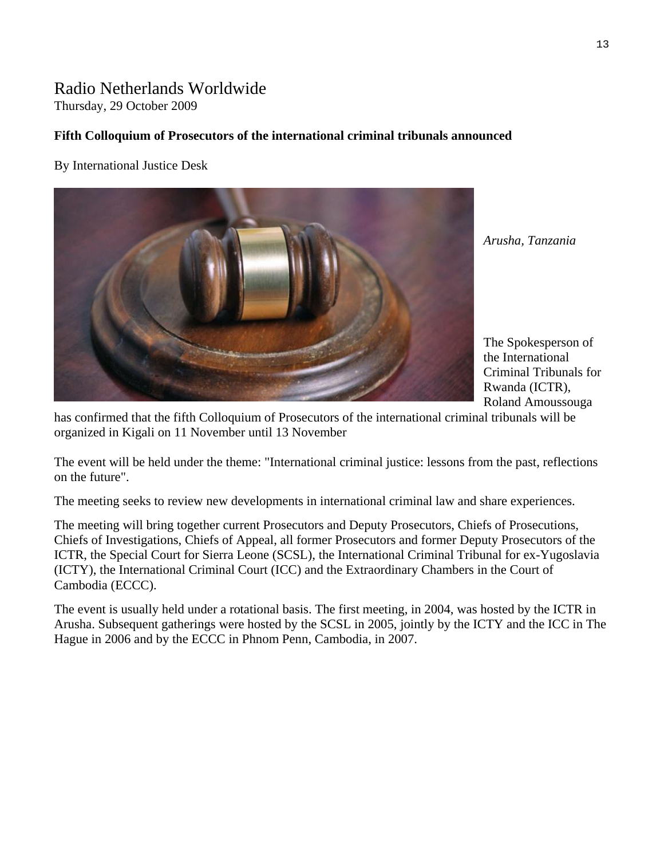# Radio Netherlands Worldwide

Thursday, 29 October 2009

#### **Fifth Colloquium of Prosecutors of the international criminal tribunals announced**

By International Justice Desk



*Arusha, Tanzania* 

The Spokesperson of the International Criminal Tribunals for Rwanda (ICTR), Roland Amoussouga

has confirmed that the fifth Colloquium of Prosecutors of the international criminal tribunals will be organized in Kigali on 11 November until 13 November

The event will be held under the theme: "International criminal justice: lessons from the past, reflections on the future".

The meeting seeks to review new developments in international criminal law and share experiences.

The meeting will bring together current Prosecutors and Deputy Prosecutors, Chiefs of Prosecutions, Chiefs of Investigations, Chiefs of Appeal, all former Prosecutors and former Deputy Prosecutors of the ICTR, the Special Court for Sierra Leone (SCSL), the International Criminal Tribunal for ex-Yugoslavia (ICTY), the International Criminal Court (ICC) and the Extraordinary Chambers in the Court of Cambodia (ECCC).

The event is usually held under a rotational basis. The first meeting, in 2004, was hosted by the ICTR in Arusha. Subsequent gatherings were hosted by the SCSL in 2005, jointly by the ICTY and the ICC in The Hague in 2006 and by the ECCC in Phnom Penn, Cambodia, in 2007.